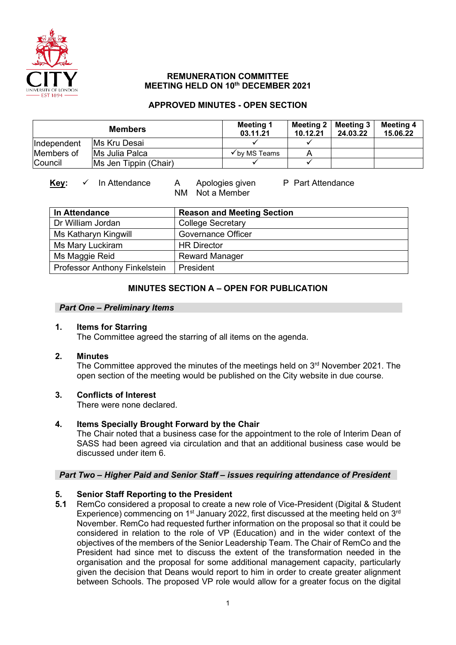

### **REMUNERATION COMMITTEE MEETING HELD ON 10th DECEMBER 2021**

### **APPROVED MINUTES - OPEN SECTION**

| <b>Members</b> |                       | Meeting 1<br>03.11.21    | 10.12.21 | Meeting 2   Meeting 3  <br>24.03.22 | <b>Meeting 4</b><br>15.06.22 |
|----------------|-----------------------|--------------------------|----------|-------------------------------------|------------------------------|
| Independent    | IMs Kru Desai         |                          |          |                                     |                              |
| Members of     | Ms Julia Palca        | $\checkmark$ by MS Teams |          |                                     |                              |
| Council        | Ms Jen Tippin (Chair) |                          |          |                                     |                              |

# Key: ✓ In Attendance A Apologies given P Part Attendance

NM Not a Member

| In Attendance                 | <b>Reason and Meeting Section</b> |
|-------------------------------|-----------------------------------|
| Dr William Jordan             | <b>College Secretary</b>          |
| Ms Katharyn Kingwill          | <b>Governance Officer</b>         |
| Ms Mary Luckiram              | <b>HR Director</b>                |
| Ms Maggie Reid                | <b>Reward Manager</b>             |
| Professor Anthony Finkelstein | President                         |

## **MINUTES SECTION A – OPEN FOR PUBLICATION**

### *Part One – Preliminary Items*

### **1. Items for Starring**

The Committee agreed the starring of all items on the agenda.

### **2. Minutes**

The Committee approved the minutes of the meetings held on  $3<sup>rd</sup>$  November 2021. The open section of the meeting would be published on the City website in due course.

## **3. Conflicts of Interest**

There were none declared.

## **4. Items Specially Brought Forward by the Chair**

The Chair noted that a business case for the appointment to the role of Interim Dean of SASS had been agreed via circulation and that an additional business case would be discussed under item 6.

## *Part Two – Higher Paid and Senior Staff – issues requiring attendance of President*

## **5. Senior Staff Reporting to the President**

**5.1** RemCo considered a proposal to create a new role of Vice-President (Digital & Student Experience) commencing on  $1<sup>st</sup>$  January 2022, first discussed at the meeting held on  $3<sup>rd</sup>$ November. RemCo had requested further information on the proposal so that it could be considered in relation to the role of VP (Education) and in the wider context of the objectives of the members of the Senior Leadership Team. The Chair of RemCo and the President had since met to discuss the extent of the transformation needed in the organisation and the proposal for some additional management capacity, particularly given the decision that Deans would report to him in order to create greater alignment between Schools. The proposed VP role would allow for a greater focus on the digital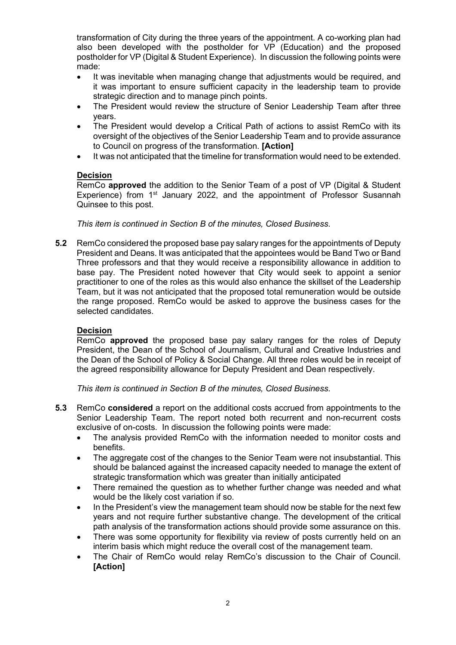transformation of City during the three years of the appointment. A co-working plan had also been developed with the postholder for VP (Education) and the proposed postholder for VP (Digital & Student Experience). In discussion the following points were made:

- It was inevitable when managing change that adjustments would be required, and it was important to ensure sufficient capacity in the leadership team to provide strategic direction and to manage pinch points.
- The President would review the structure of Senior Leadership Team after three years.
- The President would develop a Critical Path of actions to assist RemCo with its oversight of the objectives of the Senior Leadership Team and to provide assurance to Council on progress of the transformation. **[Action]**
- It was not anticipated that the timeline for transformation would need to be extended.

### **Decision**

RemCo **approved** the addition to the Senior Team of a post of VP (Digital & Student Experience) from 1<sup>st</sup> January 2022, and the appointment of Professor Susannah Quinsee to this post.

*This item is continued in Section B of the minutes, Closed Business.*

**5.2** RemCo considered the proposed base pay salary ranges for the appointments of Deputy President and Deans. It was anticipated that the appointees would be Band Two or Band Three professors and that they would receive a responsibility allowance in addition to base pay. The President noted however that City would seek to appoint a senior practitioner to one of the roles as this would also enhance the skillset of the Leadership Team, but it was not anticipated that the proposed total remuneration would be outside the range proposed. RemCo would be asked to approve the business cases for the selected candidates.

### **Decision**

RemCo **approved** the proposed base pay salary ranges for the roles of Deputy President, the Dean of the School of Journalism, Cultural and Creative Industries and the Dean of the School of Policy & Social Change. All three roles would be in receipt of the agreed responsibility allowance for Deputy President and Dean respectively.

*This item is continued in Section B of the minutes, Closed Business.*

- **5.3** RemCo **considered** a report on the additional costs accrued from appointments to the Senior Leadership Team. The report noted both recurrent and non-recurrent costs exclusive of on-costs. In discussion the following points were made:
	- The analysis provided RemCo with the information needed to monitor costs and benefits.
	- The aggregate cost of the changes to the Senior Team were not insubstantial. This should be balanced against the increased capacity needed to manage the extent of strategic transformation which was greater than initially anticipated
	- There remained the question as to whether further change was needed and what would be the likely cost variation if so.
	- In the President's view the management team should now be stable for the next few years and not require further substantive change. The development of the critical path analysis of the transformation actions should provide some assurance on this.
	- There was some opportunity for flexibility via review of posts currently held on an interim basis which might reduce the overall cost of the management team.
	- The Chair of RemCo would relay RemCo's discussion to the Chair of Council. **[Action]**